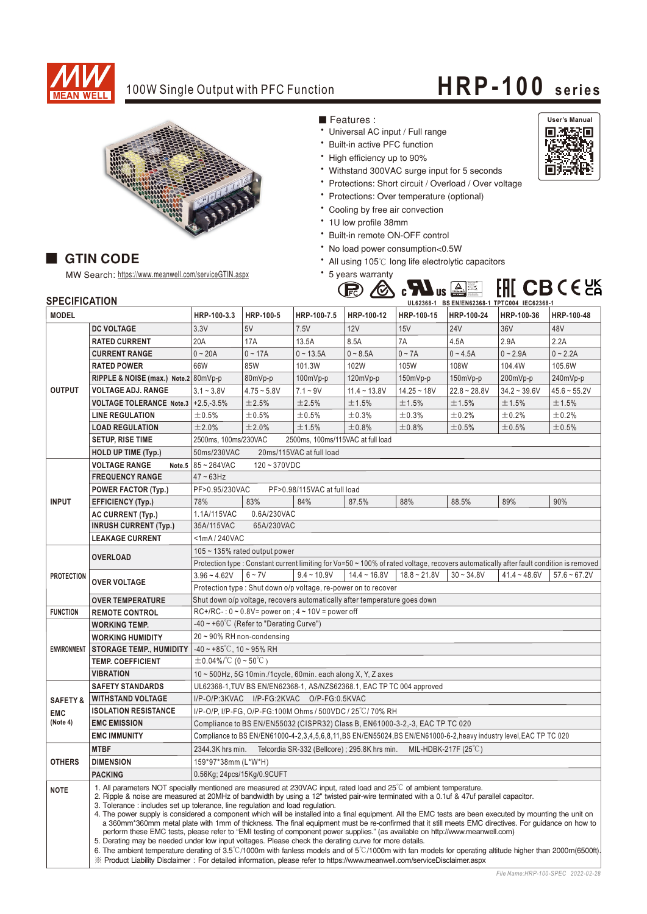

## 100W Single Output with PFC Function **HRP-100** series



MW Search: https://www.meanwell.com/serviceGTIN.aspx

## ■ Features :

- Universal AC input / Full range
- Built-in active PFC function
- High efficiency up to 90%
- Withstand 300VAC surge input for 5 seconds
- \* Protections: Short circuit / Overload / Over voltage
- Protections: Over temperature (optional)
- Cooling by free air convection
- \* 1U low profile 38mm
- \* Built-in remote ON-OFF control
- No load power consumption<0.5W
- All using 105℃ long life electrolytic capacitors

Bauariege<br>Sicherheit<br>Sicherheit<br>Entderheit

\* 5 years warranty



**GTIN CODE** 

| SPECIFICATION       |                                 | UL62368-1 BS EN/EN62368-1 TPTC004 IEC62368-1                                                                                                                                                                                                                                                                                                                                                                                                                                                                                                                                                                                                                                                                                                                                                                                                                                                                                                                                                                                                                                                                                                                                                                                   |               |                                                                |                |                                                                             |                |                |                |  |
|---------------------|---------------------------------|--------------------------------------------------------------------------------------------------------------------------------------------------------------------------------------------------------------------------------------------------------------------------------------------------------------------------------------------------------------------------------------------------------------------------------------------------------------------------------------------------------------------------------------------------------------------------------------------------------------------------------------------------------------------------------------------------------------------------------------------------------------------------------------------------------------------------------------------------------------------------------------------------------------------------------------------------------------------------------------------------------------------------------------------------------------------------------------------------------------------------------------------------------------------------------------------------------------------------------|---------------|----------------------------------------------------------------|----------------|-----------------------------------------------------------------------------|----------------|----------------|----------------|--|
| <b>MODEL</b>        |                                 | HRP-100-3.3                                                                                                                                                                                                                                                                                                                                                                                                                                                                                                                                                                                                                                                                                                                                                                                                                                                                                                                                                                                                                                                                                                                                                                                                                    | HRP-100-5     | HRP-100-7.5                                                    | HRP-100-12     | HRP-100-15                                                                  | HRP-100-24     | HRP-100-36     | HRP-100-48     |  |
| <b>OUTPUT</b>       | <b>DC VOLTAGE</b>               | 3.3V                                                                                                                                                                                                                                                                                                                                                                                                                                                                                                                                                                                                                                                                                                                                                                                                                                                                                                                                                                                                                                                                                                                                                                                                                           | 5V            | 7.5V                                                           | <b>12V</b>     | 15V                                                                         | <b>24V</b>     | 36V            | 48V            |  |
|                     | <b>RATED CURRENT</b>            | 20A                                                                                                                                                                                                                                                                                                                                                                                                                                                                                                                                                                                                                                                                                                                                                                                                                                                                                                                                                                                                                                                                                                                                                                                                                            | 17A           | 13.5A                                                          | 8.5A           | 7A                                                                          | 4.5A           | 2.9A           | 2.2A           |  |
|                     | <b>CURRENT RANGE</b>            | $0 - 20A$                                                                                                                                                                                                                                                                                                                                                                                                                                                                                                                                                                                                                                                                                                                                                                                                                                                                                                                                                                                                                                                                                                                                                                                                                      | $0 - 17A$     | $0 - 13.5A$                                                    | $0 - 8.5A$     | $0 \sim 7A$                                                                 | $0 - 4.5A$     | $0 - 2.9A$     | $0 - 2.2A$     |  |
|                     | <b>RATED POWER</b>              | 66W                                                                                                                                                                                                                                                                                                                                                                                                                                                                                                                                                                                                                                                                                                                                                                                                                                                                                                                                                                                                                                                                                                                                                                                                                            | 85W           | 101.3W                                                         | 102W           | 105W                                                                        | 108W           | 104.4W         | 105.6W         |  |
|                     | RIPPLE & NOISE (max.) Note.2    | 80mVp-p                                                                                                                                                                                                                                                                                                                                                                                                                                                                                                                                                                                                                                                                                                                                                                                                                                                                                                                                                                                                                                                                                                                                                                                                                        | 80mVp-p       | 100mVp-p                                                       | 120mVp-p       | 150mVp-p                                                                    | 150mVp-p       | 200mVp-p       | 240mVp-p       |  |
|                     | <b>VOLTAGE ADJ. RANGE</b>       | $3.1 - 3.8V$                                                                                                                                                                                                                                                                                                                                                                                                                                                                                                                                                                                                                                                                                                                                                                                                                                                                                                                                                                                                                                                                                                                                                                                                                   | $4.75 - 5.8V$ | $7.1 - 9V$                                                     | $11.4 - 13.8V$ | $14.25 - 18V$                                                               | $22.8 - 28.8V$ | $34.2 - 39.6V$ | $45.6 - 55.2V$ |  |
|                     | <b>VOLTAGE TOLERANCE Note.3</b> | $+2.5,-3.5%$                                                                                                                                                                                                                                                                                                                                                                                                                                                                                                                                                                                                                                                                                                                                                                                                                                                                                                                                                                                                                                                                                                                                                                                                                   | ±2.5%         | ±2.5%                                                          | ±1.5%          | ±1.5%                                                                       | ±1.5%          | ±1.5%          | ±1.5%          |  |
|                     | <b>LINE REGULATION</b>          | ±0.5%                                                                                                                                                                                                                                                                                                                                                                                                                                                                                                                                                                                                                                                                                                                                                                                                                                                                                                                                                                                                                                                                                                                                                                                                                          | ±0.5%         | ±0.5%                                                          | ±0.3%          | ±0.3%                                                                       | ±0.2%          | ±0.2%          | ±0.2%          |  |
|                     | <b>LOAD REGULATION</b>          | ±2.0%                                                                                                                                                                                                                                                                                                                                                                                                                                                                                                                                                                                                                                                                                                                                                                                                                                                                                                                                                                                                                                                                                                                                                                                                                          | ±2.0%         | ±1.5%                                                          | ±0.8%          | ±0.8%                                                                       | ±0.5%          | ±0.5%          | ±0.5%          |  |
|                     | SETUP, RISE TIME                | 2500ms, 100ms/230VAC<br>2500ms, 100ms/115VAC at full load                                                                                                                                                                                                                                                                                                                                                                                                                                                                                                                                                                                                                                                                                                                                                                                                                                                                                                                                                                                                                                                                                                                                                                      |               |                                                                |                |                                                                             |                |                |                |  |
|                     | <b>HOLD UP TIME (Typ.)</b>      | 50ms/230VAC<br>20ms/115VAC at full load                                                                                                                                                                                                                                                                                                                                                                                                                                                                                                                                                                                                                                                                                                                                                                                                                                                                                                                                                                                                                                                                                                                                                                                        |               |                                                                |                |                                                                             |                |                |                |  |
|                     | <b>VOLTAGE RANGE</b><br>Note.5  | 85~264VAC<br>$120 - 370VDC$                                                                                                                                                                                                                                                                                                                                                                                                                                                                                                                                                                                                                                                                                                                                                                                                                                                                                                                                                                                                                                                                                                                                                                                                    |               |                                                                |                |                                                                             |                |                |                |  |
| <b>INPUT</b>        | <b>FREQUENCY RANGE</b>          | $47 - 63$ Hz                                                                                                                                                                                                                                                                                                                                                                                                                                                                                                                                                                                                                                                                                                                                                                                                                                                                                                                                                                                                                                                                                                                                                                                                                   |               |                                                                |                |                                                                             |                |                |                |  |
|                     | <b>POWER FACTOR (Typ.)</b>      | PF>0.95/230VAC<br>PF>0.98/115VAC at full load                                                                                                                                                                                                                                                                                                                                                                                                                                                                                                                                                                                                                                                                                                                                                                                                                                                                                                                                                                                                                                                                                                                                                                                  |               |                                                                |                |                                                                             |                |                |                |  |
|                     | <b>EFFICIENCY (Typ.)</b>        | 78%                                                                                                                                                                                                                                                                                                                                                                                                                                                                                                                                                                                                                                                                                                                                                                                                                                                                                                                                                                                                                                                                                                                                                                                                                            | 83%           | 84%                                                            | 87.5%          | 88%                                                                         | 88.5%          | 89%            | 90%            |  |
|                     | <b>AC CURRENT (Typ.)</b>        | 1.1A/115VAC                                                                                                                                                                                                                                                                                                                                                                                                                                                                                                                                                                                                                                                                                                                                                                                                                                                                                                                                                                                                                                                                                                                                                                                                                    | 0.6A/230VAC   |                                                                |                |                                                                             |                |                |                |  |
|                     | <b>INRUSH CURRENT (Typ.)</b>    | 65A/230VAC<br>35A/115VAC                                                                                                                                                                                                                                                                                                                                                                                                                                                                                                                                                                                                                                                                                                                                                                                                                                                                                                                                                                                                                                                                                                                                                                                                       |               |                                                                |                |                                                                             |                |                |                |  |
|                     | <b>LEAKAGE CURRENT</b>          | <1mA/240VAC                                                                                                                                                                                                                                                                                                                                                                                                                                                                                                                                                                                                                                                                                                                                                                                                                                                                                                                                                                                                                                                                                                                                                                                                                    |               |                                                                |                |                                                                             |                |                |                |  |
| <b>PROTECTION</b>   |                                 | 105 $\sim$ 135% rated output power                                                                                                                                                                                                                                                                                                                                                                                                                                                                                                                                                                                                                                                                                                                                                                                                                                                                                                                                                                                                                                                                                                                                                                                             |               |                                                                |                |                                                                             |                |                |                |  |
|                     | <b>OVERLOAD</b>                 | Protection type: Constant current limiting for Vo=50 ~ 100% of rated voltage, recovers automatically after fault condition is removed                                                                                                                                                                                                                                                                                                                                                                                                                                                                                                                                                                                                                                                                                                                                                                                                                                                                                                                                                                                                                                                                                          |               |                                                                |                |                                                                             |                |                |                |  |
|                     | <b>OVER VOLTAGE</b>             | $3.96 - 4.62V$                                                                                                                                                                                                                                                                                                                                                                                                                                                                                                                                                                                                                                                                                                                                                                                                                                                                                                                                                                                                                                                                                                                                                                                                                 | $6 - 7V$      | $9.4 - 10.9V$                                                  | $14.4 - 16.8V$ | $18.8 - 21.8V$                                                              | $30 - 34.8V$   | $41.4 - 48.6V$ | $57.6 - 67.2V$ |  |
|                     |                                 |                                                                                                                                                                                                                                                                                                                                                                                                                                                                                                                                                                                                                                                                                                                                                                                                                                                                                                                                                                                                                                                                                                                                                                                                                                |               | Protection type: Shut down o/p voltage, re-power on to recover |                |                                                                             |                |                |                |  |
|                     | <b>OVER TEMPERATURE</b>         | Shut down o/p voltage, recovers automatically after temperature goes down                                                                                                                                                                                                                                                                                                                                                                                                                                                                                                                                                                                                                                                                                                                                                                                                                                                                                                                                                                                                                                                                                                                                                      |               |                                                                |                |                                                                             |                |                |                |  |
| <b>FUNCTION</b>     | <b>REMOTE CONTROL</b>           | $RC+/RC-: 0 \sim 0.8V = power on$ ; $4 \sim 10V = power off$                                                                                                                                                                                                                                                                                                                                                                                                                                                                                                                                                                                                                                                                                                                                                                                                                                                                                                                                                                                                                                                                                                                                                                   |               |                                                                |                |                                                                             |                |                |                |  |
| <b>ENVIRONMENT</b>  | <b>WORKING TEMP.</b>            | -40 ~ +60°C (Refer to "Derating Curve")                                                                                                                                                                                                                                                                                                                                                                                                                                                                                                                                                                                                                                                                                                                                                                                                                                                                                                                                                                                                                                                                                                                                                                                        |               |                                                                |                |                                                                             |                |                |                |  |
|                     | <b>WORKING HUMIDITY</b>         | $20 \sim 90\%$ RH non-condensing                                                                                                                                                                                                                                                                                                                                                                                                                                                                                                                                                                                                                                                                                                                                                                                                                                                                                                                                                                                                                                                                                                                                                                                               |               |                                                                |                |                                                                             |                |                |                |  |
|                     | <b>STORAGE TEMP., HUMIDITY</b>  | $-40 \sim +85^{\circ}$ C, 10 ~ 95% RH                                                                                                                                                                                                                                                                                                                                                                                                                                                                                                                                                                                                                                                                                                                                                                                                                                                                                                                                                                                                                                                                                                                                                                                          |               |                                                                |                |                                                                             |                |                |                |  |
|                     | <b>TEMP. COEFFICIENT</b>        | $\pm$ 0.04%/°C (0 ~ 50°C)                                                                                                                                                                                                                                                                                                                                                                                                                                                                                                                                                                                                                                                                                                                                                                                                                                                                                                                                                                                                                                                                                                                                                                                                      |               |                                                                |                |                                                                             |                |                |                |  |
|                     | <b>VIBRATION</b>                | $10 \sim 500$ Hz, 5G 10min./1cycle, 60min. each along X, Y, Z axes                                                                                                                                                                                                                                                                                                                                                                                                                                                                                                                                                                                                                                                                                                                                                                                                                                                                                                                                                                                                                                                                                                                                                             |               |                                                                |                |                                                                             |                |                |                |  |
|                     | <b>SAFETY STANDARDS</b>         | UL62368-1, TUV BS EN/EN62368-1, AS/NZS62368.1, EAC TP TC 004 approved                                                                                                                                                                                                                                                                                                                                                                                                                                                                                                                                                                                                                                                                                                                                                                                                                                                                                                                                                                                                                                                                                                                                                          |               |                                                                |                |                                                                             |                |                |                |  |
| <b>SAFETY &amp;</b> | <b>WITHSTAND VOLTAGE</b>        | I/P-O/P:3KVAC I/P-FG:2KVAC O/P-FG:0.5KVAC                                                                                                                                                                                                                                                                                                                                                                                                                                                                                                                                                                                                                                                                                                                                                                                                                                                                                                                                                                                                                                                                                                                                                                                      |               |                                                                |                |                                                                             |                |                |                |  |
| <b>EMC</b>          | <b>ISOLATION RESISTANCE</b>     | I/P-O/P. I/P-FG. O/P-FG:100M Ohms / 500VDC / 25°C/70% RH                                                                                                                                                                                                                                                                                                                                                                                                                                                                                                                                                                                                                                                                                                                                                                                                                                                                                                                                                                                                                                                                                                                                                                       |               |                                                                |                |                                                                             |                |                |                |  |
| (Note 4)            | <b>EMC EMISSION</b>             | Compliance to BS EN/EN55032 (CISPR32) Class B, EN61000-3-2,-3, EAC TP TC 020                                                                                                                                                                                                                                                                                                                                                                                                                                                                                                                                                                                                                                                                                                                                                                                                                                                                                                                                                                                                                                                                                                                                                   |               |                                                                |                |                                                                             |                |                |                |  |
|                     | <b>EMC IMMUNITY</b>             | Compliance to BS EN/EN61000-4-2,3,4,5,6,8,11,BS EN/EN55024,BS EN/EN61000-6-2,heavy industry level,EAC TP TC 020                                                                                                                                                                                                                                                                                                                                                                                                                                                                                                                                                                                                                                                                                                                                                                                                                                                                                                                                                                                                                                                                                                                |               |                                                                |                |                                                                             |                |                |                |  |
| <b>OTHERS</b>       | <b>MTBF</b>                     | 2344.3K hrs min.                                                                                                                                                                                                                                                                                                                                                                                                                                                                                                                                                                                                                                                                                                                                                                                                                                                                                                                                                                                                                                                                                                                                                                                                               |               |                                                                |                | Telcordia SR-332 (Bellcore); 295.8K hrs min. MIL-HDBK-217F (25 $\degree$ C) |                |                |                |  |
|                     | <b>DIMENSION</b>                | 159*97*38mm (L*W*H)                                                                                                                                                                                                                                                                                                                                                                                                                                                                                                                                                                                                                                                                                                                                                                                                                                                                                                                                                                                                                                                                                                                                                                                                            |               |                                                                |                |                                                                             |                |                |                |  |
|                     | <b>PACKING</b>                  | 0.56Kg; 24pcs/15Kg/0.9CUFT                                                                                                                                                                                                                                                                                                                                                                                                                                                                                                                                                                                                                                                                                                                                                                                                                                                                                                                                                                                                                                                                                                                                                                                                     |               |                                                                |                |                                                                             |                |                |                |  |
| <b>NOTE</b>         |                                 | 1. All parameters NOT specially mentioned are measured at 230VAC input, rated load and 25°C of ambient temperature.<br>2. Ripple & noise are measured at 20MHz of bandwidth by using a 12" twisted pair-wire terminated with a 0.1uf & 47uf parallel capacitor.<br>3. Tolerance : includes set up tolerance, line regulation and load regulation.<br>4. The power supply is considered a component which will be installed into a final equipment. All the EMC tests are been executed by mounting the unit on<br>a 360mm*360mm metal plate with 1mm of thickness. The final equipment must be re-confirmed that it still meets EMC directives. For guidance on how to<br>perform these EMC tests, please refer to "EMI testing of component power supplies." (as available on http://www.meanwell.com)<br>5. Derating may be needed under low input voltages. Please check the derating curve for more details.<br>6. The ambient temperature derating of $3.5^{\circ}$ C/1000m with fanless models and of $5^{\circ}$ C/1000m with fan models for operating altitude higher than 2000m(6500ft).<br>※ Product Liability Disclaimer: For detailed information, please refer to https://www.meanwell.com/serviceDisclaimer.aspx |               |                                                                |                |                                                                             |                |                |                |  |